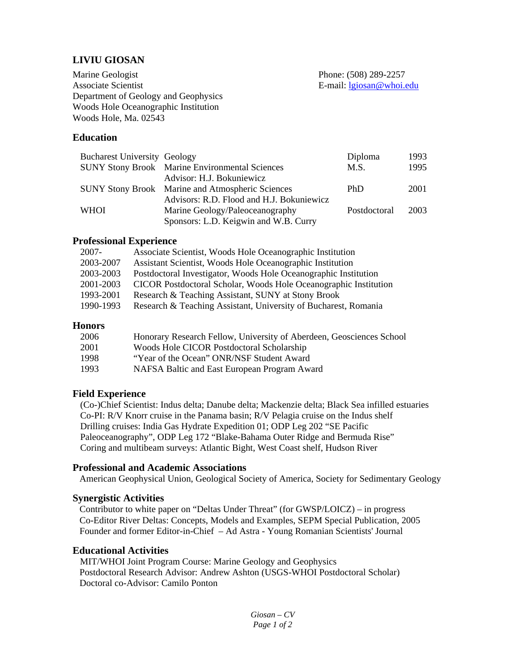# **LIVIU GIOSAN**

Marine Geologist Associate Scientist Department of Geology and Geophysics Woods Hole Oceanographic Institution Woods Hole, Ma. 02543

Phone: (508) 289-2257 E-mail: [lgiosan@whoi.edu](mailto:lgiosan@whoi.edu)

## **Education**

| <b>Bucharest University Geology</b> |                                                         | Diploma      | 1993 |
|-------------------------------------|---------------------------------------------------------|--------------|------|
|                                     | <b>SUNY Stony Brook</b> Marine Environmental Sciences   | M.S.         | 1995 |
|                                     | Advisor: H.J. Bokuniewicz                               |              |      |
|                                     | <b>SUNY Stony Brook</b> Marine and Atmospheric Sciences | <b>PhD</b>   | 2001 |
|                                     | Advisors: R.D. Flood and H.J. Bokuniewicz               |              |      |
| <b>WHOI</b>                         | Marine Geology/Paleoceanography                         | Postdoctoral | 2003 |
|                                     | Sponsors: L.D. Keigwin and W.B. Curry                   |              |      |

#### **Professional Experience**

| $2007 -$  | Associate Scientist, Woods Hole Oceanographic Institution        |
|-----------|------------------------------------------------------------------|
| 2003-2007 | Assistant Scientist, Woods Hole Oceanographic Institution        |
| 2003-2003 | Postdoctoral Investigator, Woods Hole Oceanographic Institution  |
| 2001-2003 | CICOR Postdoctoral Scholar, Woods Hole Oceanographic Institution |
| 1993-2001 | Research & Teaching Assistant, SUNY at Stony Brook               |
| 1990-1993 | Research & Teaching Assistant, University of Bucharest, Romania  |
|           |                                                                  |

## **Honors**

| 2006  | Honorary Research Fellow, University of Aberdeen, Geosciences School |
|-------|----------------------------------------------------------------------|
| 2001  | Woods Hole CICOR Postdoctoral Scholarship                            |
| -1998 | "Year of the Ocean" ONR/NSF Student Award                            |
| 1993  | NAFSA Baltic and East European Program Award                         |

## **Field Experience**

(Co-)Chief Scientist: Indus delta; Danube delta; Mackenzie delta; Black Sea infilled estuaries Co-PI: R/V Knorr cruise in the Panama basin; R/V Pelagia cruise on the Indus shelf Drilling cruises: India Gas Hydrate Expedition 01; ODP Leg 202 "SE Pacific Paleoceanography", ODP Leg 172 "Blake-Bahama Outer Ridge and Bermuda Rise" Coring and multibeam surveys: Atlantic Bight, West Coast shelf, Hudson River

## **Professional and Academic Associations**

American Geophysical Union, Geological Society of America, Society for Sedimentary Geology

## **Synergistic Activities**

 Contributor to white paper on "Deltas Under Threat" (for GWSP/LOICZ) – in progress Co-Editor River Deltas: Concepts, Models and Examples, SEPM Special Publication, 2005 Founder and former Editor-in-Chief – Ad Astra - Young Romanian Scientists' Journal

# **Educational Activities**

 MIT/WHOI Joint Program Course: Marine Geology and Geophysics Postdoctoral Research Advisor: Andrew Ashton (USGS-WHOI Postdoctoral Scholar) Doctoral co-Advisor: Camilo Ponton

> *Giosan – CV Page 1 of 2*